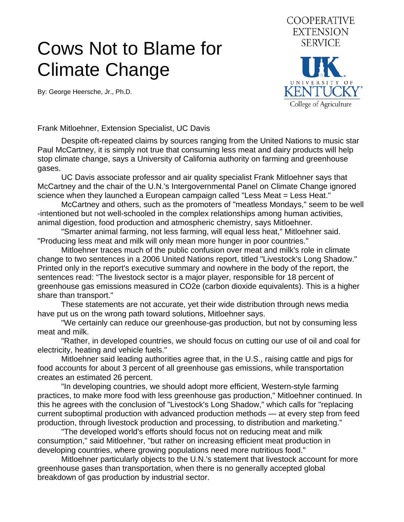## Cows Not to Blame for Climate Change

By: George Heersche, Jr., Ph.D.



Frank Mitloehner, Extension Specialist, UC Davis

 Despite oft-repeated claims by sources ranging from the United Nations to music star Paul McCartney, it is simply not true that consuming less meat and dairy products will help stop climate change, says a University of California authority on farming and greenhouse gases.

 UC Davis associate professor and air quality specialist Frank Mitloehner says that McCartney and the chair of the U.N.'s Intergovernmental Panel on Climate Change ignored science when they launched a European campaign called "Less Meat = Less Heat."

 McCartney and others, such as the promoters of "meatless Mondays," seem to be well -intentioned but not well-schooled in the complex relationships among human activities, animal digestion, food production and atmospheric chemistry, says Mitloehner.

 "Smarter animal farming, not less farming, will equal less heat," Mitloehner said. "Producing less meat and milk will only mean more hunger in poor countries."

 Mitloehner traces much of the public confusion over meat and milk's role in climate change to two sentences in a 2006 United Nations report, titled "Livestock's Long Shadow." Printed only in the report's executive summary and nowhere in the body of the report, the sentences read: "The livestock sector is a major player, responsible for 18 percent of greenhouse gas emissions measured in CO2e (carbon dioxide equivalents). This is a higher share than transport."

 These statements are not accurate, yet their wide distribution through news media have put us on the wrong path toward solutions, Mitloehner says.

 "We certainly can reduce our greenhouse-gas production, but not by consuming less meat and milk.

 "Rather, in developed countries, we should focus on cutting our use of oil and coal for electricity, heating and vehicle fuels."

 Mitloehner said leading authorities agree that, in the U.S., raising cattle and pigs for food accounts for about 3 percent of all greenhouse gas emissions, while transportation creates an estimated 26 percent.

 "In developing countries, we should adopt more efficient, Western-style farming practices, to make more food with less greenhouse gas production," Mitloehner continued. In this he agrees with the conclusion of "Livestock's Long Shadow," which calls for "replacing current suboptimal production with advanced production methods — at every step from feed production, through livestock production and processing, to distribution and marketing."

 "The developed world's efforts should focus not on reducing meat and milk consumption," said Mitloehner, "but rather on increasing efficient meat production in developing countries, where growing populations need more nutritious food."

 Mitloehner particularly objects to the U.N.'s statement that livestock account for more greenhouse gases than transportation, when there is no generally accepted global breakdown of gas production by industrial sector.